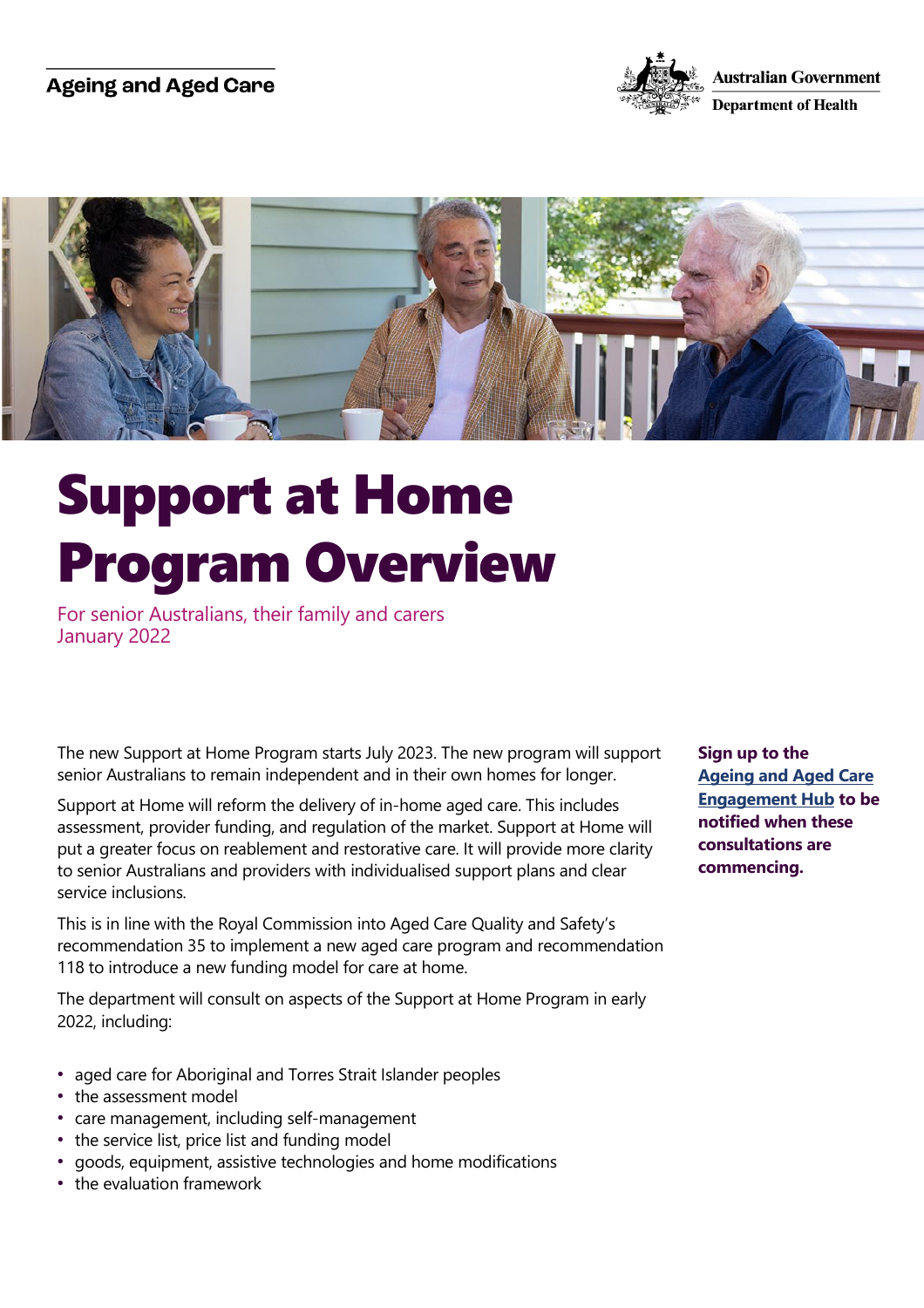## **Ageing and Aged Care**





## Support at Home Program Overview

For senior Australians, their family and carers January 2022

The new Support at Home Program starts July 2023. The new program will support senior Australians to remain independent and in their own homes for longer.

Support at Home will reform the delivery of in-home aged care. This includes assessment, provider funding, and regulation of the market. Support at Home will put a greater focus on reablement and restorative care. It will provide more clarity to senior Australians and providers with individualised support plans and clear service inclusions.

This is in line with the Royal Commission into Aged Care Quality and Safety's recommendation 35 to implement a new aged care program and recommendation 118 to introduce a new funding model for care at home.

The department will consult on aspects of the Support at Home Program in early 2022, including:

- aged care for Aboriginal and Torres Strait Islander peoples
- the assessment model
- care management, including self-management
- the service list, price list and funding model
- goods, equipment, assistive technologies and home modifications
- the evaluation framework

**Sign up to the [Ageing and Aged Care](https://www.agedcareengagement.health.gov.au/)  [Engagement Hub](https://www.agedcareengagement.health.gov.au/) to be notified when these consultations are commencing.**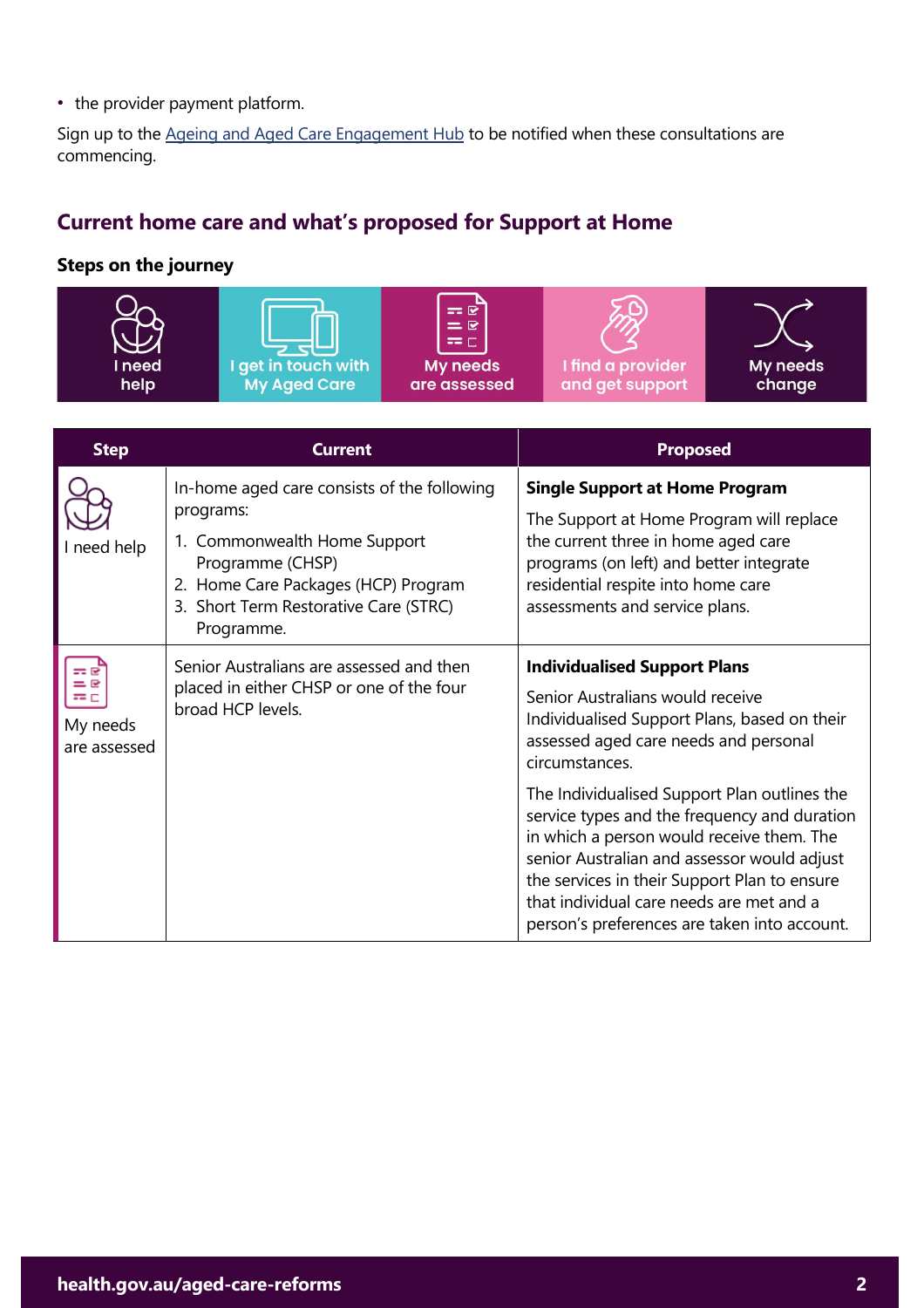• the provider payment platform.

Sign up to the [Ageing and Aged Care Engagement Hub](https://www.agedcareengagement.health.gov.au/) to be notified when these consultations are commencing.

## **Current home care and what's proposed for Support at Home**

## **Steps on the journey**





 $=$   $\vec{e}$  $=$  $\overline{R}$  $=$   $<sub>c</sub>$ </sub> My needs are assessed





| <b>Step</b>                            | Current                                                                                                                                                                                                    | <b>Proposed</b>                                                                                                                                                                                                                                                                                                                                                                                                                                                                                                            |
|----------------------------------------|------------------------------------------------------------------------------------------------------------------------------------------------------------------------------------------------------------|----------------------------------------------------------------------------------------------------------------------------------------------------------------------------------------------------------------------------------------------------------------------------------------------------------------------------------------------------------------------------------------------------------------------------------------------------------------------------------------------------------------------------|
| I need help                            | In-home aged care consists of the following<br>programs:<br>1. Commonwealth Home Support<br>Programme (CHSP)<br>2. Home Care Packages (HCP) Program<br>3. Short Term Restorative Care (STRC)<br>Programme. | <b>Single Support at Home Program</b><br>The Support at Home Program will replace<br>the current three in home aged care<br>programs (on left) and better integrate<br>residential respite into home care<br>assessments and service plans.                                                                                                                                                                                                                                                                                |
| == e<br>≔⊓<br>My needs<br>are assessed | Senior Australians are assessed and then<br>placed in either CHSP or one of the four<br>broad HCP levels.                                                                                                  | <b>Individualised Support Plans</b><br>Senior Australians would receive<br>Individualised Support Plans, based on their<br>assessed aged care needs and personal<br>circumstances.<br>The Individualised Support Plan outlines the<br>service types and the frequency and duration<br>in which a person would receive them. The<br>senior Australian and assessor would adjust<br>the services in their Support Plan to ensure<br>that individual care needs are met and a<br>person's preferences are taken into account. |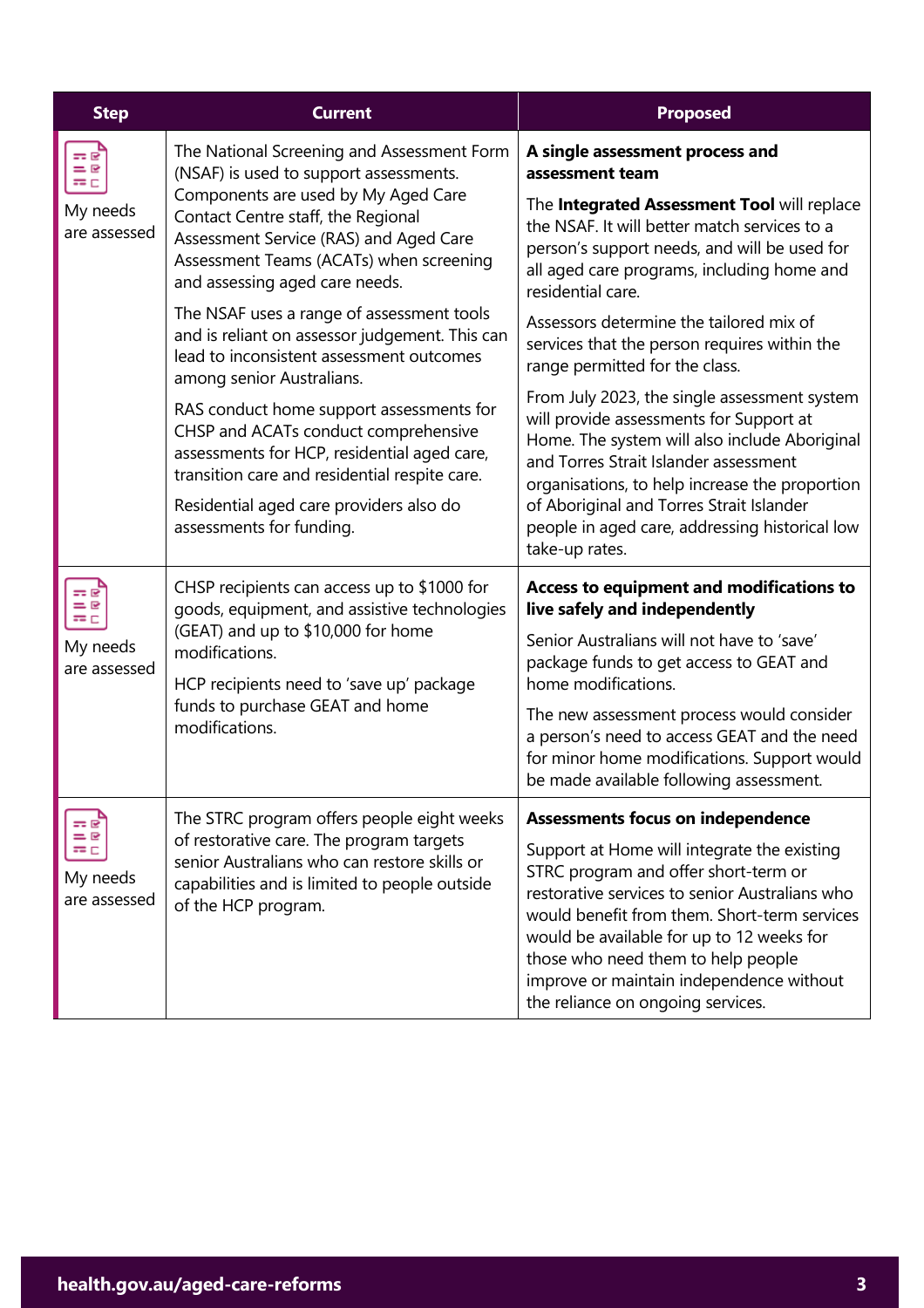| <b>Step</b>                                      | <b>Current</b>                                                                                                                                                                                                                                                                           | <b>Proposed</b>                                                                                                                                                                                                                                                                                                                                           |
|--------------------------------------------------|------------------------------------------------------------------------------------------------------------------------------------------------------------------------------------------------------------------------------------------------------------------------------------------|-----------------------------------------------------------------------------------------------------------------------------------------------------------------------------------------------------------------------------------------------------------------------------------------------------------------------------------------------------------|
| ≕೯<br>$= 8$<br>$= 0$<br>My needs<br>are assessed | The National Screening and Assessment Form<br>(NSAF) is used to support assessments.<br>Components are used by My Aged Care<br>Contact Centre staff, the Regional<br>Assessment Service (RAS) and Aged Care<br>Assessment Teams (ACATs) when screening<br>and assessing aged care needs. | A single assessment process and<br>assessment team                                                                                                                                                                                                                                                                                                        |
|                                                  |                                                                                                                                                                                                                                                                                          | The Integrated Assessment Tool will replace<br>the NSAF. It will better match services to a<br>person's support needs, and will be used for<br>all aged care programs, including home and<br>residential care.                                                                                                                                            |
|                                                  | The NSAF uses a range of assessment tools<br>and is reliant on assessor judgement. This can<br>lead to inconsistent assessment outcomes<br>among senior Australians.                                                                                                                     | Assessors determine the tailored mix of<br>services that the person requires within the<br>range permitted for the class.                                                                                                                                                                                                                                 |
|                                                  | RAS conduct home support assessments for<br>CHSP and ACATs conduct comprehensive<br>assessments for HCP, residential aged care,<br>transition care and residential respite care.<br>Residential aged care providers also do<br>assessments for funding.                                  | From July 2023, the single assessment system<br>will provide assessments for Support at<br>Home. The system will also include Aboriginal<br>and Torres Strait Islander assessment<br>organisations, to help increase the proportion<br>of Aboriginal and Torres Strait Islander<br>people in aged care, addressing historical low<br>take-up rates.       |
| ≕ತ<br>$= 8$<br>≔⊏<br>My needs<br>are assessed    | CHSP recipients can access up to \$1000 for<br>goods, equipment, and assistive technologies<br>(GEAT) and up to \$10,000 for home<br>modifications.<br>HCP recipients need to 'save up' package<br>funds to purchase GEAT and home<br>modifications.                                     | Access to equipment and modifications to<br>live safely and independently                                                                                                                                                                                                                                                                                 |
|                                                  |                                                                                                                                                                                                                                                                                          | Senior Australians will not have to 'save'<br>package funds to get access to GEAT and<br>home modifications.                                                                                                                                                                                                                                              |
|                                                  |                                                                                                                                                                                                                                                                                          | The new assessment process would consider<br>a person's need to access GEAT and the need<br>for minor home modifications. Support would<br>be made available following assessment.                                                                                                                                                                        |
| ≕                                                | The STRC program offers people eight weeks                                                                                                                                                                                                                                               | <b>Assessments focus on independence</b>                                                                                                                                                                                                                                                                                                                  |
| $= 2$<br>≔⊏<br>My needs<br>are assessed          | of restorative care. The program targets<br>senior Australians who can restore skills or<br>capabilities and is limited to people outside<br>of the HCP program.                                                                                                                         | Support at Home will integrate the existing<br>STRC program and offer short-term or<br>restorative services to senior Australians who<br>would benefit from them. Short-term services<br>would be available for up to 12 weeks for<br>those who need them to help people<br>improve or maintain independence without<br>the reliance on ongoing services. |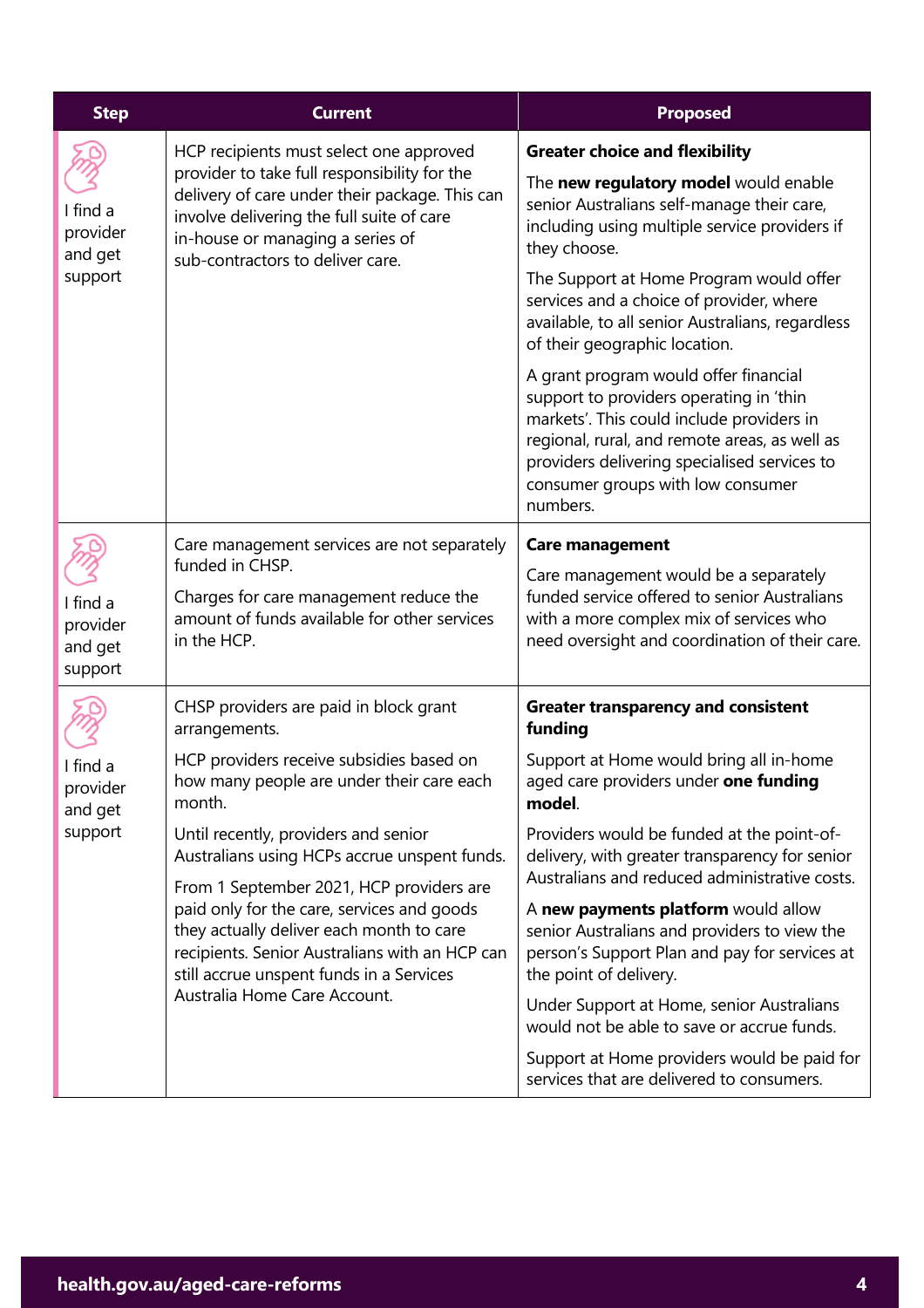| <b>Step</b>                                | <b>Current</b>                                                                                                                                                                                                                                                   | <b>Proposed</b>                                                                                                                                                                                                                                                                 |
|--------------------------------------------|------------------------------------------------------------------------------------------------------------------------------------------------------------------------------------------------------------------------------------------------------------------|---------------------------------------------------------------------------------------------------------------------------------------------------------------------------------------------------------------------------------------------------------------------------------|
| I find a<br>provider<br>and get<br>support | HCP recipients must select one approved<br>provider to take full responsibility for the<br>delivery of care under their package. This can<br>involve delivering the full suite of care<br>in-house or managing a series of<br>sub-contractors to deliver care.   | <b>Greater choice and flexibility</b>                                                                                                                                                                                                                                           |
|                                            |                                                                                                                                                                                                                                                                  | The new regulatory model would enable<br>senior Australians self-manage their care,<br>including using multiple service providers if<br>they choose.                                                                                                                            |
|                                            |                                                                                                                                                                                                                                                                  | The Support at Home Program would offer<br>services and a choice of provider, where<br>available, to all senior Australians, regardless<br>of their geographic location.                                                                                                        |
|                                            |                                                                                                                                                                                                                                                                  | A grant program would offer financial<br>support to providers operating in 'thin<br>markets'. This could include providers in<br>regional, rural, and remote areas, as well as<br>providers delivering specialised services to<br>consumer groups with low consumer<br>numbers. |
|                                            | Care management services are not separately<br>funded in CHSP.<br>Charges for care management reduce the<br>amount of funds available for other services<br>in the HCP.                                                                                          | <b>Care management</b>                                                                                                                                                                                                                                                          |
| I find a<br>provider<br>and get<br>support |                                                                                                                                                                                                                                                                  | Care management would be a separately<br>funded service offered to senior Australians<br>with a more complex mix of services who<br>need oversight and coordination of their care.                                                                                              |
|                                            | CHSP providers are paid in block grant<br>arrangements.                                                                                                                                                                                                          | <b>Greater transparency and consistent</b><br>funding                                                                                                                                                                                                                           |
| I find a<br>provider<br>and get<br>support | HCP providers receive subsidies based on<br>how many people are under their care each<br>month.                                                                                                                                                                  | Support at Home would bring all in-home<br>aged care providers under one funding<br>model.                                                                                                                                                                                      |
|                                            | Until recently, providers and senior<br>Australians using HCPs accrue unspent funds.                                                                                                                                                                             | Providers would be funded at the point-of-<br>delivery, with greater transparency for senior                                                                                                                                                                                    |
|                                            | From 1 September 2021, HCP providers are<br>paid only for the care, services and goods<br>they actually deliver each month to care<br>recipients. Senior Australians with an HCP can<br>still accrue unspent funds in a Services<br>Australia Home Care Account. | Australians and reduced administrative costs.                                                                                                                                                                                                                                   |
|                                            |                                                                                                                                                                                                                                                                  | A new payments platform would allow<br>senior Australians and providers to view the<br>person's Support Plan and pay for services at<br>the point of delivery.                                                                                                                  |
|                                            |                                                                                                                                                                                                                                                                  | Under Support at Home, senior Australians<br>would not be able to save or accrue funds.                                                                                                                                                                                         |
|                                            |                                                                                                                                                                                                                                                                  | Support at Home providers would be paid for<br>services that are delivered to consumers.                                                                                                                                                                                        |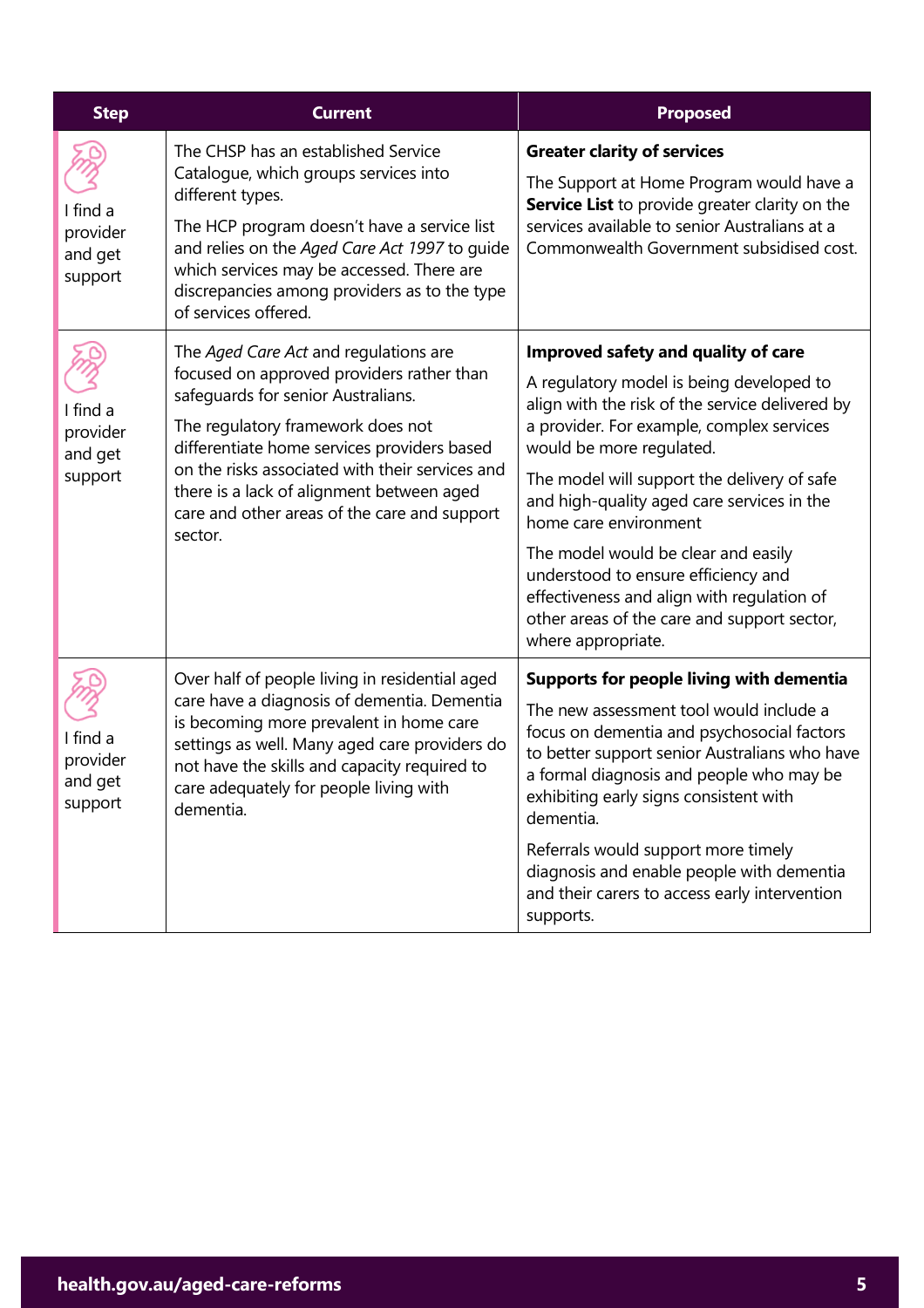| <b>Step</b>                                | <b>Current</b>                                                                                                                                                                                                                                                                                                                                                          | <b>Proposed</b>                                                                                                                                                                                                                                                                                                                                                                                                                                                                                                                    |
|--------------------------------------------|-------------------------------------------------------------------------------------------------------------------------------------------------------------------------------------------------------------------------------------------------------------------------------------------------------------------------------------------------------------------------|------------------------------------------------------------------------------------------------------------------------------------------------------------------------------------------------------------------------------------------------------------------------------------------------------------------------------------------------------------------------------------------------------------------------------------------------------------------------------------------------------------------------------------|
| I find a<br>provider<br>and get<br>support | The CHSP has an established Service<br>Catalogue, which groups services into<br>different types.<br>The HCP program doesn't have a service list<br>and relies on the Aged Care Act 1997 to guide<br>which services may be accessed. There are<br>discrepancies among providers as to the type<br>of services offered.                                                   | <b>Greater clarity of services</b><br>The Support at Home Program would have a<br>Service List to provide greater clarity on the<br>services available to senior Australians at a<br>Commonwealth Government subsidised cost.                                                                                                                                                                                                                                                                                                      |
| I find a<br>provider<br>and get<br>support | The Aged Care Act and regulations are<br>focused on approved providers rather than<br>safeguards for senior Australians.<br>The regulatory framework does not<br>differentiate home services providers based<br>on the risks associated with their services and<br>there is a lack of alignment between aged<br>care and other areas of the care and support<br>sector. | Improved safety and quality of care<br>A regulatory model is being developed to<br>align with the risk of the service delivered by<br>a provider. For example, complex services<br>would be more regulated.<br>The model will support the delivery of safe<br>and high-quality aged care services in the<br>home care environment<br>The model would be clear and easily<br>understood to ensure efficiency and<br>effectiveness and align with regulation of<br>other areas of the care and support sector,<br>where appropriate. |
| I find a<br>provider<br>and get<br>support | Over half of people living in residential aged<br>care have a diagnosis of dementia. Dementia<br>is becoming more prevalent in home care<br>settings as well. Many aged care providers do<br>not have the skills and capacity required to<br>care adequately for people living with<br>dementia.                                                                        | Supports for people living with dementia<br>The new assessment tool would include a<br>focus on dementia and psychosocial factors<br>to better support senior Australians who have<br>a formal diagnosis and people who may be<br>exhibiting early signs consistent with<br>dementia.<br>Referrals would support more timely<br>diagnosis and enable people with dementia<br>and their carers to access early intervention<br>supports.                                                                                            |